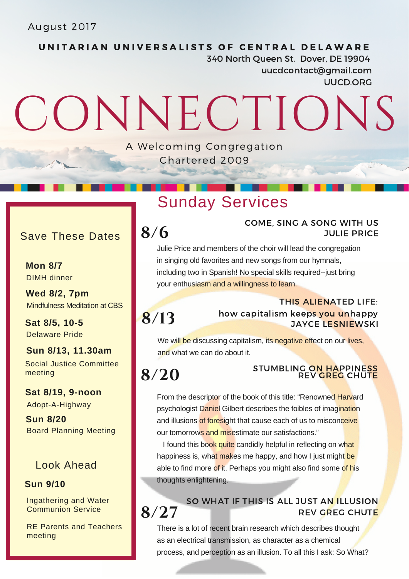August 2017

UNITARIAN UNIVERSALISTS OF CENTRAL DELAWARE 340 North Queen St. Dover, DE 19904 uucdcontact@gmail.com UUCD.ORG

# CONNECTIONS

A Welcoming Congregation Chartered 2009

## Sunday Services

## Save These Dates

**Mon 8/7** DIMH dinner

**Wed 8/2, 7pm** Mindfulness Meditation at CBS

Delaware Pride **Sat 8/5, 10-5**

**Sun 8/13, 11.30am** Social Justice Committee meeting

**Sat 8/19, 9-noon** Adopt-A-Highway

**Sun 8/20** Board Planning Meeting

#### Look Ahead

#### **Sun 9/10**

Ingathering and Water Communion Service

RE Parents and Teachers meeting

### COME, SING A SONG WITH US  $8/6$  JULIE PRICE

Julie Price and members of the choir will lead the congregation in singing old favorites and new songs from our hymnals, including two in Spanish! No special skills required--just bring your enthusiasm and a willingness to learn.

## **8/13**

THIS ALIENATED LIFE: how capitalism keeps you unhappy JAYCE LESNIEWSKI

We will be discussing capitalism, its negative effect on our lives, and what we can do about it.

## **8/20**

#### STUMBLING ON HAPPINESS REV GREG CHUTE

REV GREG CHUTE

From the descriptor of the book of this title: "Renowned Harvard psychologist Daniel Gilbert describes the foibles of imagination and illusions of foresight that cause each of us to misconceive our tomorrows and misestimate our satisfactions."

I found this book quite candidly helpful in reflecting on what happiness is, what makes me happy, and how I just might be able to find more of it. Perhaps you might also find some of his thoughts enlightening.

## **8/27**

There is a lot of recent brain research which describes thought as an electrical transmission, as character as a chemical process, and perception as an illusion. To all this I ask: So What?

SO WHAT IF THIS IS ALL JUST AN ILLUSION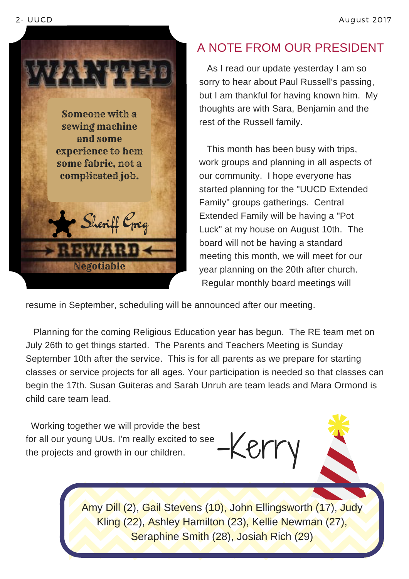

## A NOTE FROM OUR PRESIDENT

As I read our update yesterday I am so sorry to hear about Paul Russell's passing, but I am thankful for having known him. My thoughts are with Sara, Benjamin and the rest of the Russell family.

This month has been busy with trips, work groups and planning in all aspects of our community. I hope everyone has started planning for the "UUCD Extended Family" groups gatherings. Central Extended Family will be having a "Pot Luck" at my house on August 10th. The board will not be having a standard meeting this month, we will meet for our year planning on the 20th after church. Regular monthly board meetings will

resume in September, scheduling will be announced after our meeting.

Planning for the coming Religious Education year has begun. The RE team met on July 26th to get things started. The Parents and Teachers Meeting is Sunday September 10th after the service. This is for all parents as we prepare for starting classes or service projects for all ages. Your participation is needed so that classes can begin the 17th. Susan Guiteras and Sarah Unruh are team leads and Mara Ormond is child care team lead.

Working together we will provide the best for all our young UUs. I'm really excited to see the projects and growth in our children.

-Kerry

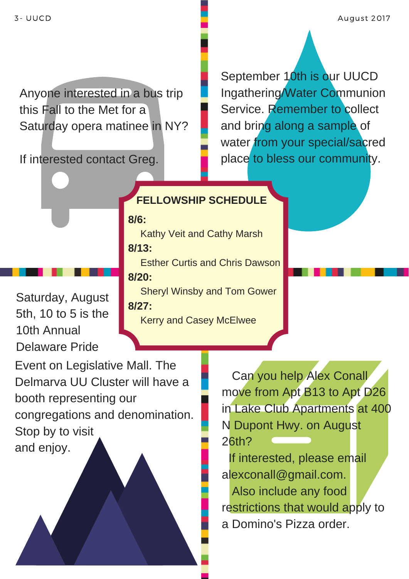Anyone interested in a bus trip this Fall to the Met for a Saturday opera matinee in NY?

**8/6:**

**8/13:**

If interested contact Greg.

September 10th is our UUCD Ingathering/Water Communion Service. Remember to collect and bring along a sample of water from your special/sacred place to bless our community.

Sheryl Winsby and Tom Gower Kerry and Casey McElwee **8/20: 8/27:**

Esther Curtis and Chris Dawson

Kathy Veit and Cathy Marsh

**FELLOWSHIP SCHEDULE**

Saturday, August 5th, 10 to 5 is the 10th Annual Delaware Pride

Event on Legislative Mall. The Delmarva UU Cluster will have a booth representing our congregations and denomination. Stop by to visit and enjoy.

Can you help Alex Conall move from Apt B13 to Apt D26 in Lake Club Apartments at 400 N Dupont Hwy. on August 26th?

If interested, please email alexconall@gmail.com.

Also include any food restrictions that would apply to a Domino's Pizza order.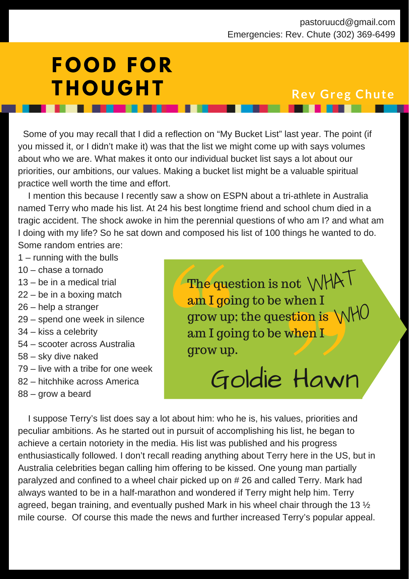# **F O O D F O R T H O U G H T Rev Greg Chute**

Some of you may recall that I did a reflection on "My Bucket List" last year. The point (if you missed it, or I didn't make it) was that the list we might come up with says volumes about who we are. What makes it onto our individual bucket list says a lot about our priorities, our ambitions, our values. Making a bucket list might be a valuable spiritual practice well worth the time and effort.

I mention this because I recently saw a show on ESPN about a tri-athlete in Australia named Terry who made his list. At 24 his best longtime friend and school chum died in a tragic accident. The shock awoke in him the perennial questions of who am I? and what am I doing with my life? So he sat down and composed his list of 100 things he wanted to do. Some random entries are:

- 1 running with the bulls
- 10 chase a tornado
- 13 be in a medical trial
- 22 be in a boxing match
- 26 help a stranger
- 29 spend one week in silence
- 34 kiss a celebrity
- 54 scooter across Australia
- 58 sky dive naked
- 79 live with a tribe for one week
- 82 hitchhike across America
- 88 grow a beard

The question is not WHAT am I going to be when I  $\frac{\text{num} \cdot \text{genig}}{\text{row up}}$ ; the question is  $\text{WMO}$ am I going to be when I grow up.

# Goldie Hawn

I suppose Terry's list does say a lot about him: who he is, his values, priorities and peculiar ambitions. As he started out in pursuit of accomplishing his list, he began to achieve a certain notoriety in the media. His list was published and his progress enthusiastically followed. I don't recall reading anything about Terry here in the US, but in Australia celebrities began calling him offering to be kissed. One young man partially paralyzed and confined to a wheel chair picked up on # 26 and called Terry. Mark had always wanted to be in a half-marathon and wondered if Terry might help him. Terry agreed, began training, and eventually pushed Mark in his wheel chair through the 13 ½ mile course. Of course this made the news and further increased Terry's popular appeal.